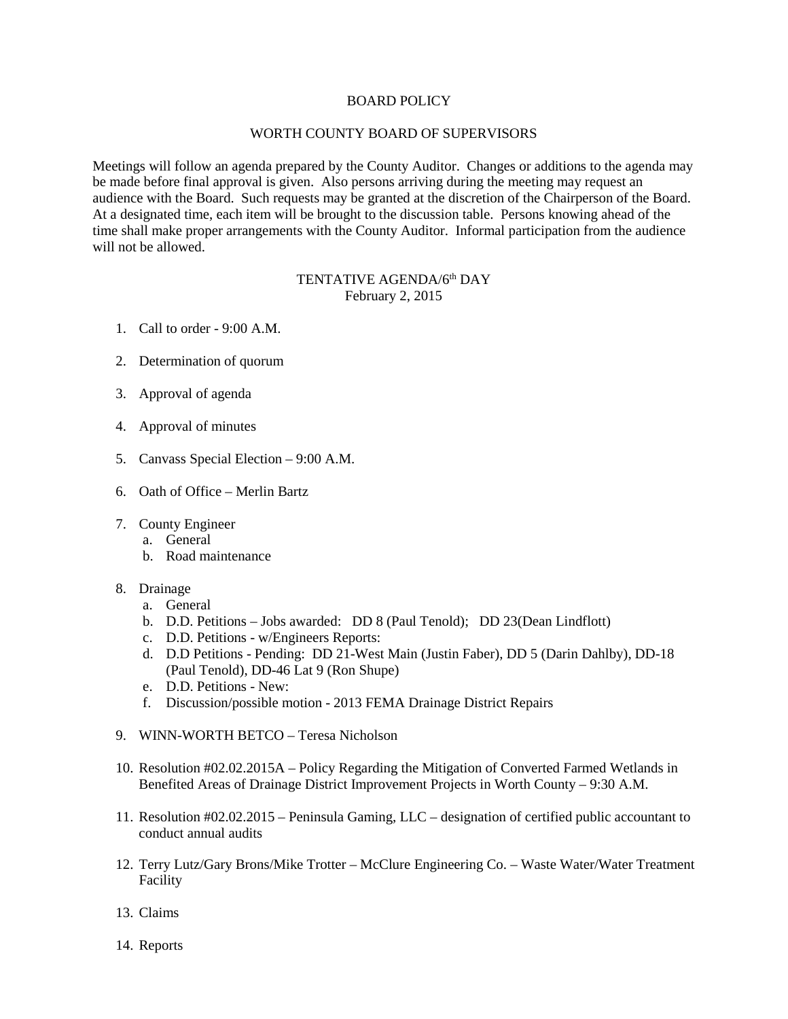## BOARD POLICY

## WORTH COUNTY BOARD OF SUPERVISORS

Meetings will follow an agenda prepared by the County Auditor. Changes or additions to the agenda may be made before final approval is given. Also persons arriving during the meeting may request an audience with the Board. Such requests may be granted at the discretion of the Chairperson of the Board. At a designated time, each item will be brought to the discussion table. Persons knowing ahead of the time shall make proper arrangements with the County Auditor. Informal participation from the audience will not be allowed.

## TENTATIVE AGENDA/6<sup>th</sup> DAY February 2, 2015

- 1. Call to order 9:00 A.M.
- 2. Determination of quorum
- 3. Approval of agenda
- 4. Approval of minutes
- 5. Canvass Special Election 9:00 A.M.
- 6. Oath of Office Merlin Bartz
- 7. County Engineer
	- a. General
	- b. Road maintenance
- 8. Drainage
	- a. General
	- b. D.D. Petitions Jobs awarded: DD 8 (Paul Tenold); DD 23(Dean Lindflott)
	- c. D.D. Petitions w/Engineers Reports:
	- d. D.D Petitions Pending: DD 21-West Main (Justin Faber), DD 5 (Darin Dahlby), DD-18 (Paul Tenold), DD-46 Lat 9 (Ron Shupe)
	- e. D.D. Petitions New:
	- f. Discussion/possible motion 2013 FEMA Drainage District Repairs
- 9. WINN-WORTH BETCO Teresa Nicholson
- 10. Resolution #02.02.2015A Policy Regarding the Mitigation of Converted Farmed Wetlands in Benefited Areas of Drainage District Improvement Projects in Worth County – 9:30 A.M.
- 11. Resolution #02.02.2015 Peninsula Gaming, LLC designation of certified public accountant to conduct annual audits
- 12. Terry Lutz/Gary Brons/Mike Trotter McClure Engineering Co. Waste Water/Water Treatment Facility
- 13. Claims
- 14. Reports